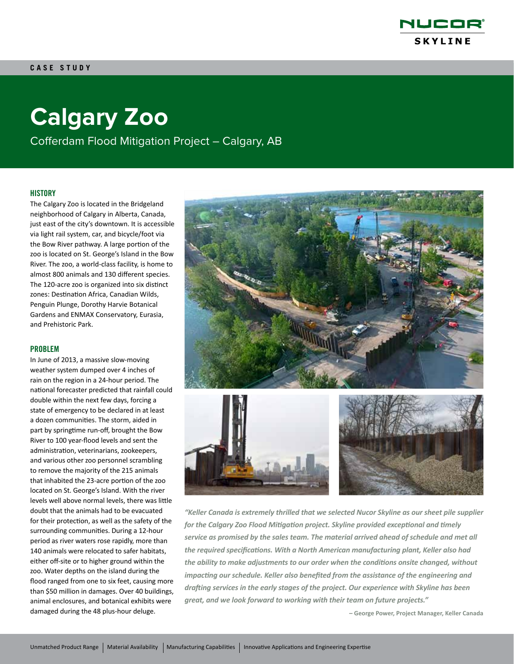

# **Calgary Zoo**

Cofferdam Flood Mitigation Project – Calgary, AB

### **HISTORY**

The Calgary Zoo is located in the Bridgeland neighborhood of Calgary in Alberta, Canada, just east of the city's downtown. It is accessible via light rail system, car, and bicycle/foot via the Bow River pathway. A large portion of the zoo is located on St. George's Island in the Bow River. The zoo, a world-class facility, is home to almost 800 animals and 130 different species. The 120-acre zoo is organized into six distinct zones: Destination Africa, Canadian Wilds, Penguin Plunge, Dorothy Harvie Botanical Gardens and ENMAX Conservatory, Eurasia, and Prehistoric Park.

### PROBLEM

In June of 2013, a massive slow-moving weather system dumped over 4 inches of rain on the region in a 24-hour period. The national forecaster predicted that rainfall could double within the next few days, forcing a state of emergency to be declared in at least a dozen communities. The storm, aided in part by springtime run-off, brought the Bow River to 100 year-flood levels and sent the administration, veterinarians, zookeepers, and various other zoo personnel scrambling to remove the majority of the 215 animals that inhabited the 23-acre portion of the zoo located on St. George's Island. With the river levels well above normal levels, there was little doubt that the animals had to be evacuated for their protection, as well as the safety of the surrounding communities. During a 12-hour period as river waters rose rapidly, more than 140 animals were relocated to safer habitats, either off-site or to higher ground within the zoo. Water depths on the island during the flood ranged from one to six feet, causing more than \$50 million in damages. Over 40 buildings, animal enclosures, and botanical exhibits were damaged during the 48 plus-hour deluge.



*"Keller Canada is extremely thrilled that we selected Nucor Skyline as our sheet pile supplier for the Calgary Zoo Flood Mitigation project. Skyline provided exceptional and timely service as promised by the sales team. The material arrived ahead of schedule and met all the required specifications. With a North American manufacturing plant, Keller also had the ability to make adjustments to our order when the conditions onsite changed, without impacting our schedule. Keller also benefited from the assistance of the engineering and drafting services in the early stages of the project. Our experience with Skyline has been great, and we look forward to working with their team on future projects."*

**– George Power, Project Manager, Keller Canada**